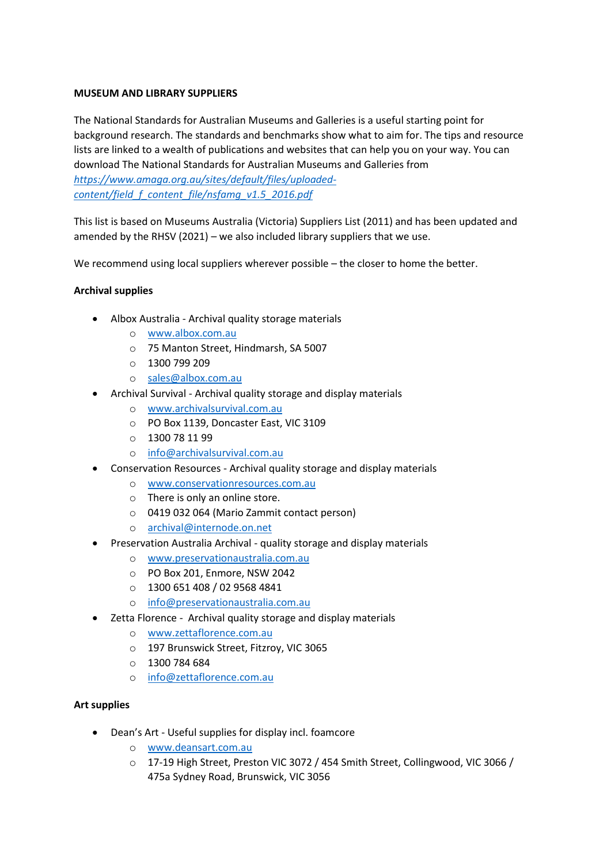### **MUSEUM AND LIBRARY SUPPLIERS**

The National Standards for Australian Museums and Galleries is a useful starting point for background research. The standards and benchmarks show what to aim for. The tips and resource lists are linked to a wealth of publications and websites that can help you on your way. You can download The National Standards for Australian Museums and Galleries from *[https://www.amaga.org.au/sites/default/files/uploaded-](https://www.amaga.org.au/sites/default/files/uploaded-content/field_f_content_file/nsfamg_v1.5_2016.pdf)*

*[content/field\\_f\\_content\\_file/nsfamg\\_v1.5\\_2016.pdf](https://www.amaga.org.au/sites/default/files/uploaded-content/field_f_content_file/nsfamg_v1.5_2016.pdf)*

This list is based on Museums Australia (Victoria) Suppliers List (2011) and has been updated and amended by the RHSV (2021) – we also included library suppliers that we use.

We recommend using local suppliers wherever possible – the closer to home the better.

# **Archival supplies**

- Albox Australia Archival quality storage materials
	- o [www.albox.com.au](http://www.albox.com.au/)
	- o 75 Manton Street, Hindmarsh, SA 5007
	- o 1300 799 209
	- o [sales@albox.com.au](mailto:sales@albox.com.au)
	- Archival Survival Archival quality storage and display materials
		- o [www.archivalsurvival.com.au](http://www.archivalsurvival.com.au/)
		- o PO Box 1139, Doncaster East, VIC 3109
		- $0 1300 7811 99$
		- o [info@archivalsurvival.com.au](mailto:info@archivalsurvival.com.au)
- Conservation Resources Archival quality storage and display materials
	- o www.conservationresources.com.au
	- o There is only an online store.
	- o 0419 032 064 (Mario Zammit contact person)
	- o [archival@internode.on.net](mailto:archival@internode.on.net)
- Preservation Australia Archival quality storage and display materials
	- o [www.preservationaustralia.com.au](http://www.preservationaustralia.com.au/)
	- o PO Box 201, Enmore, NSW 2042
	- o 1300 651 408 / 02 9568 4841
	- o [info@preservationaustralia.com.au](mailto:info@preservationaustralia.com.au)
- Zetta Florence Archival quality storage and display materials
	- o [www.zettaflorence.com.au](http://www.zettaflorence.com.au/)
	- o 197 Brunswick Street, Fitzroy, VIC 3065
	- o 1300 784 684
	- o [info@zettaflorence.com.au](mailto:info@zettaflorence.com.au)

## **Art supplies**

- Dean's Art Useful supplies for display incl. foamcore
	- o [www.deansart.com.au](http://www.deansart.com.au/)
	- o 17-19 High Street, Preston VIC 3072 / 454 Smith Street, Collingwood, VIC 3066 / 475a Sydney Road, Brunswick, VIC 3056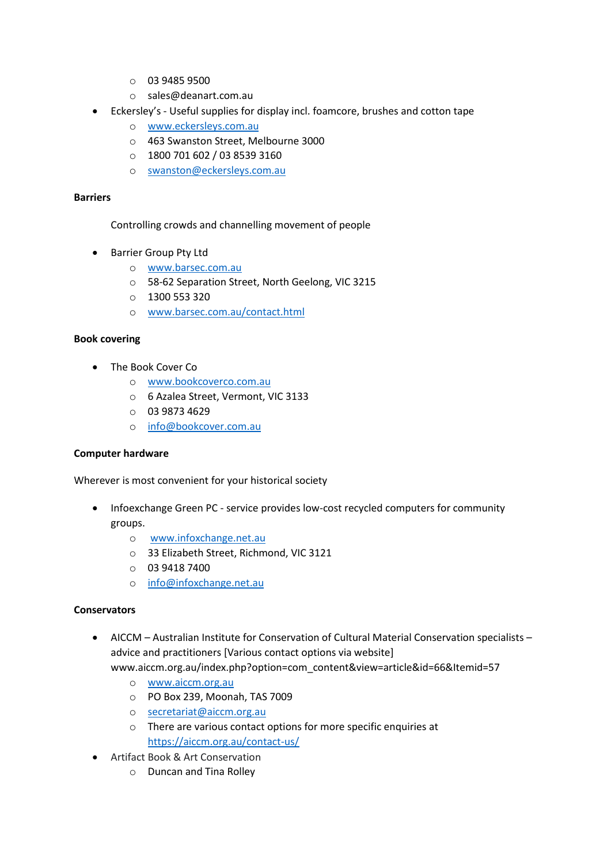- o 03 9485 9500
- o sales@deanart.com.au
- Eckersley's Useful supplies for display incl. foamcore, brushes and cotton tape
	- o www.eckersleys.com.au
	- o 463 Swanston Street, Melbourne 3000
	- o 1800 701 602 / 03 8539 3160
	- o [swanston@eckersleys.com.au](mailto:swanston@eckersleys.com.au)

#### **Barriers**

Controlling crowds and channelling movement of people

- Barrier Group Pty Ltd
	- o [www.barsec.com.au](http://www.barsec.com.au/)
	- o 58-62 Separation Street, North Geelong, VIC 3215
	- $O = 13005533320$
	- o [www.barsec.com.au/contact.html](http://www.barsec.com.au/contact.html)

#### **Book covering**

- The Book Cover Co
	- o [www.bookcoverco.com.au](http://www.bookcoverco.com.au/)
	- o 6 Azalea Street, Vermont, VIC 3133
	- o 03 9873 4629
	- o [info@bookcover.com.au](mailto:info@bookcover.com.au)

#### **Computer hardware**

Wherever is most convenient for your historical society

- Infoexchange Green PC service provides low-cost recycled computers for community groups.
	- o [www.infoxchange.net.au](http://www.infoxchange.net.au/)
	- o 33 Elizabeth Street, Richmond, VIC 3121
	- o 03 9418 7400
	- o [info@infoxchange.net.au](mailto:info@infoxchange.net.au)

#### **Conservators**

- AICCM Australian Institute for Conservation of Cultural Material Conservation specialists advice and practitioners [Various contact options via website] www.aiccm.org.au/index.php?option=com\_content&view=article&id=66&Itemid=57
	- o [www.aiccm.org.au](http://www.aiccm.org.au/)
	- o PO Box 239, Moonah, TAS 7009
	- o [secretariat@aiccm.org.au](mailto:secretariat@aiccm.org.au)
	- o There are various contact options for more specific enquiries at <https://aiccm.org.au/contact-us/>
- Artifact Book & Art Conservation
	- o Duncan and Tina Rolley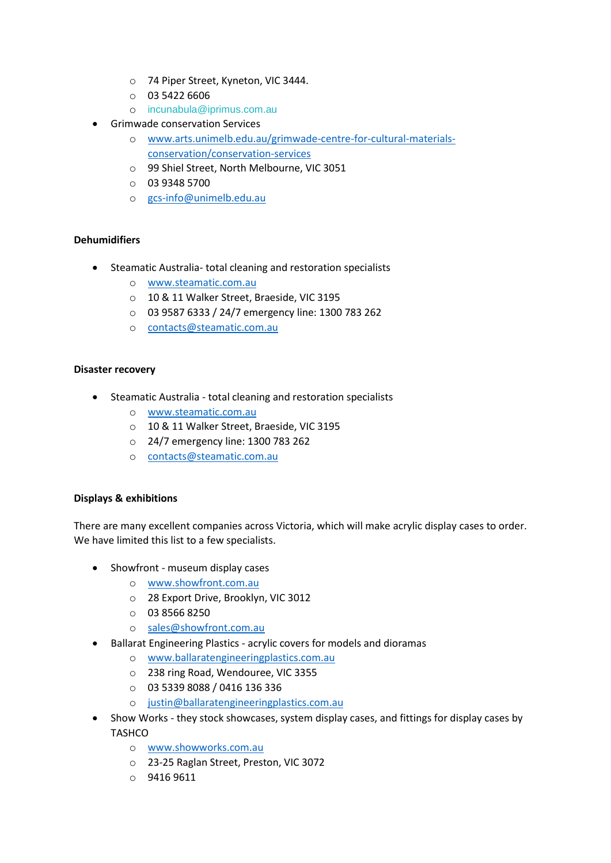- o 74 Piper Street, Kyneton, VIC 3444.
- $O$  03 5422 6606
- o [incunabula@iprimus.com.au](mailto:incunabula@iprimus.com.au)
- **•** Grimwade conservation Services
	- o [www.arts.unimelb.edu.au/grimwade-centre-for-cultural-materials](http://www.arts.unimelb.edu.au/grimwade-centre-for-cultural-materials-conservation/conservation-services)[conservation/conservation-services](http://www.arts.unimelb.edu.au/grimwade-centre-for-cultural-materials-conservation/conservation-services)
	- o 99 Shiel Street, North Melbourne, VIC 3051
	- o 03 9348 5700
	- o [gcs-info@unimelb.edu.au](mailto:gcs-info@unimelb.edu.au)

## **Dehumidifiers**

- Steamatic Australia- total cleaning and restoration specialists
	- o [www.steamatic.com.au](http://www.steamatic.com.au/)
	- o 10 & 11 Walker Street, Braeside, VIC 3195
	- o 03 9587 6333 / 24/7 emergency line: 1300 783 262
	- o [contacts@steamatic.com.au](mailto:contacts@steamatic.com.au)

#### **Disaster recovery**

- Steamatic Australia total cleaning and restoration specialists
	- o [www.steamatic.com.au](http://www.steamatic.com.au/)
	- o 10 & 11 Walker Street, Braeside, VIC 3195
	- o 24/7 emergency line: 1300 783 262
	- o [contacts@steamatic.com.au](mailto:contacts@steamatic.com.au)

#### **Displays & exhibitions**

There are many excellent companies across Victoria, which will make acrylic display cases to order. We have limited this list to a few specialists.

- Showfront museum display cases
	- o [www.showfront.com.au](http://www.showfront.com.au/)
	- o 28 Export Drive, Brooklyn, VIC 3012
	- o 03 8566 8250
	- o [sales@showfront.com.au](mailto:sales@showfront.com.au)
- Ballarat Engineering Plastics acrylic covers for models and dioramas
	- o [www.ballaratengineeringplastics.com.au](http://www.ballaratengineeringplastics.com.au/)
	- o 238 ring Road, Wendouree, VIC 3355
	- o 03 5339 8088 / 0416 136 336
	- o [justin@ballaratengineeringplastics.com.au](mailto:justin@ballaratengineeringplastics.com.au)
- Show Works they stock showcases, system display cases, and fittings for display cases by **TASHCO** 
	- o [www.showworks.com.au](http://www.showworks.com.au/)
	- o 23-25 Raglan Street, Preston, VIC 3072
	- $O$  9416 9611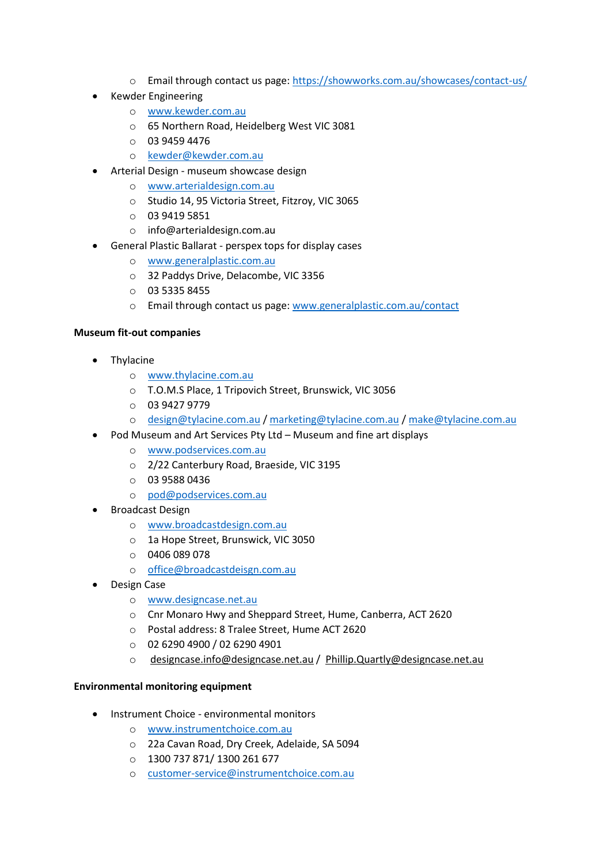- o Email through contact us page:<https://showworks.com.au/showcases/contact-us/>
- Kewder Engineering
	- o [www.kewder.com.au](http://www.kewder.com.au/)
	- o 65 Northern Road, Heidelberg West VIC 3081
	- o 03 9459 4476
	- o [kewder@kewder.com.au](mailto:kewder@kewder.com.au)
- Arterial Design museum showcase design
	- o [www.arterialdesign.com.au](http://www.arterialdesign.com.au/)
	- o Studio 14, 95 Victoria Street, Fitzroy, VIC 3065
	- o 03 9419 5851
	- o info@arterialdesign.com.au
- General Plastic Ballarat perspex tops for display cases
	- o [www.generalplastic.com.au](http://www.generalplastic.com.au/)
	- o 32 Paddys Drive, Delacombe, VIC 3356
	- o 03 5335 8455
	- o Email through contact us page: [www.generalplastic.com.au/contact](http://www.generalplastic.com.au/contact)

#### **Museum fit-out companies**

- Thylacine
	- o [www.thylacine.com.au](http://www.thylacine.com.au/)
	- o T.O.M.S Place, 1 Tripovich Street, Brunswick, VIC 3056
	- o 03 9427 9779
	- o [design@tylacine.com.au](mailto:design@tylacine.com.au) / [marketing@tylacine.com.au](mailto:marketing@tylacine.com.au) / [make@tylacine.com.au](mailto:make@tylacine.com.au)
- Pod Museum and Art Services Pty Ltd Museum and fine art displays
	- o [www.podservices.com.au](http://www.podservices.com.au/)
	- o 2/22 Canterbury Road, Braeside, VIC 3195
	- o 03 9588 0436
	- o [pod@podservices.com.au](mailto:pod@podservices.com.au)
- Broadcast Design
	- o [www.broadcastdesign.com.au](http://www.broadcastdesign.com.au/)
	- o 1a Hope Street, Brunswick, VIC 3050
	- o 0406 089 078
	- o [office@broadcastdeisgn.com.au](mailto:office@broadcastdeisgn.com.au)
- Design Case
	- o [www.designcase.net.au](http://www.designcase.net.au/)
	- o Cnr Monaro Hwy and Sheppard Street, Hume, Canberra, ACT 2620
	- o Postal address: 8 Tralee Street, Hume ACT 2620
	- o 02 6290 4900 / 02 6290 4901
	- o [designcase.info@designcase.net.au](mailto:designcase.info@designcase.net.au%C2%A0) / [Phillip.Quartly@designcase.net.au](mailto:Phillip.Quartly@designcase.net.au%C2%A0)

#### **Environmental monitoring equipment**

- Instrument Choice environmental monitors
	- o [www.instrumentchoice.com.au](http://www.instrumentchoice.com.au/)
	- o 22a Cavan Road, Dry Creek, Adelaide, SA 5094
	- o 1300 737 871/ 1300 261 677
	- o [customer-service@instrumentchoice.com.au](mailto:customer-service@instrumentchoice.com.au)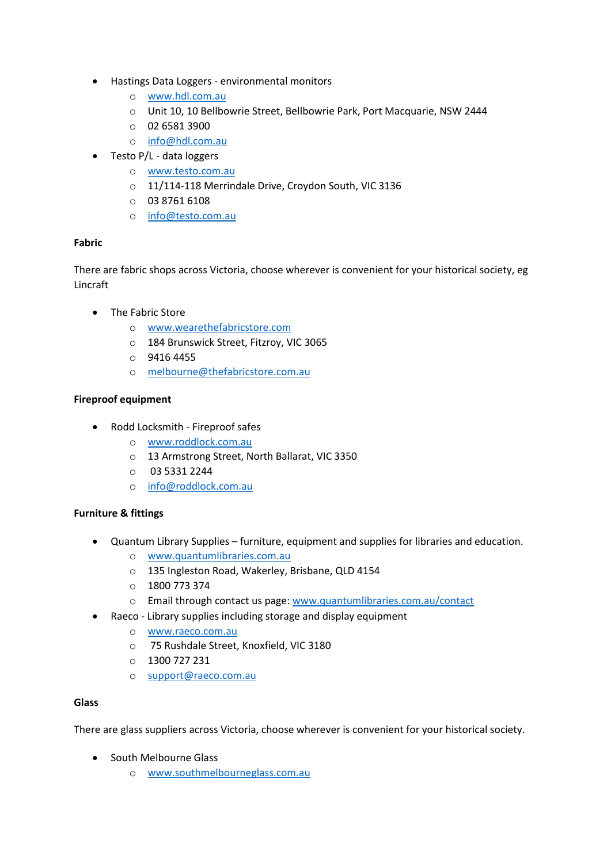- Hastings Data Loggers environmental monitors
	- o [www.hdl.com.au](http://www.hdl.com.au/)
	- o Unit 10, 10 Bellbowrie Street, Bellbowrie Park, Port Macquarie, NSW 2444
	- o 02 6581 3900
	- o [info@hdl.com.au](mailto:info@hdl.com.au)
- Testo P/L data loggers
	- o [www.testo.com.au](http://www.testo.com.au/)
	- o 11/114-118 Merrindale Drive, Croydon South, VIC 3136
	- o 03 8761 6108
	- o [info@testo.com.au](mailto:info@testo.com.au)

#### **Fabric**

There are fabric shops across Victoria, choose wherever is convenient for your historical society, eg Lincraft

- The Fabric Store
	- o [www.wearethefabricstore.com](http://www.wearethefabricstore.com/)
	- o 184 Brunswick Street, Fitzroy, VIC 3065
	- o 9416 4455
	- o [melbourne@thefabricstore.com.au](mailto:melbourne@thefabricstore.com.au)

## **Fireproof equipment**

- Rodd Locksmith Fireproof safes
	- o [www.roddlock.com.au](http://www.roddlock.com.au/)
	- o 13 Armstrong Street, North Ballarat, VIC 3350
	- o 03 5331 2244
	- o [info@roddlock.com.au](mailto:info@roddlock.com.au)

#### **Furniture & fittings**

- Quantum Library Supplies furniture, equipment and supplies for libraries and education.
	- o [www.quantumlibraries.com.au](http://www.quantumlibraries.com.au/)
	- o 135 Ingleston Road, Wakerley, Brisbane, QLD 4154
	- o 1800 773 374
	- o Email through contact us page: [www.quantumlibraries.com.au/contact](http://www.quantumlibraries.com.au/contact)
- Raeco Library supplies including storage and display equipment
	- o www.raeco.com.au
	- o 75 Rushdale Street, Knoxfield, VIC 3180
	- o 1300 727 231
	- o [support@raeco.com.au](mailto:support@raeco.com.au)

#### **Glass**

There are glass suppliers across Victoria, choose wherever is convenient for your historical society.

- South Melbourne Glass
	- o [www.southmelbourneglass.com.au](http://www.southmelbourneglass.com.au/)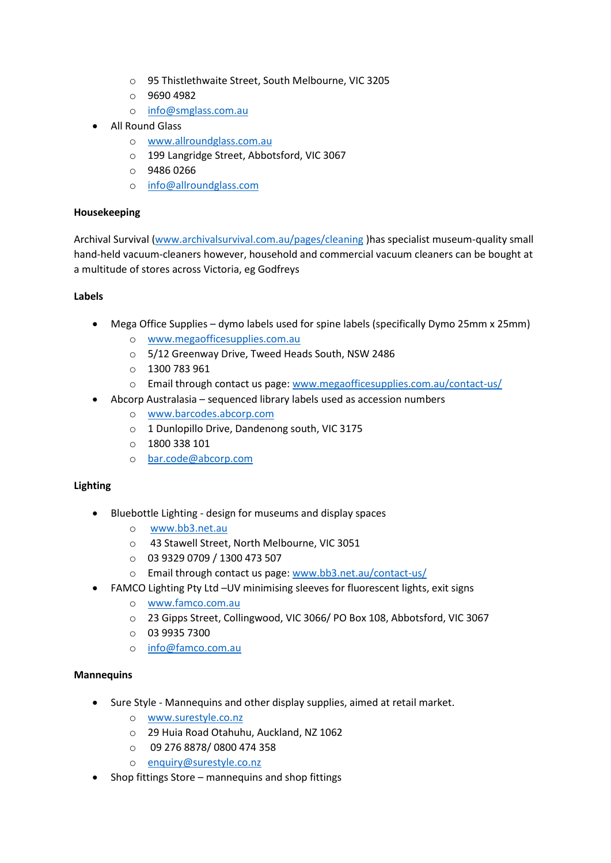- o 95 Thistlethwaite Street, South Melbourne, VIC 3205
- o 9690 4982
- o [info@smglass.com.au](mailto:info@smglass.com.au)
- All Round Glass
	- o [www.allroundglass.com.au](http://www.allroundglass.com.au/)
	- o 199 Langridge Street, Abbotsford, VIC 3067
	- o 9486 0266
	- o [info@allroundglass.com](mailto:info@allroundglass.com)

#### **Housekeeping**

Archival Survival [\(www.archivalsurvival.com.au/pages/cleaning](http://www.archivalsurvival.com.au/pages/cleaning) )has specialist museum-quality small hand-held vacuum-cleaners however, household and commercial vacuum cleaners can be bought at a multitude of stores across Victoria, eg Godfreys

#### **Labels**

- Mega Office Supplies dymo labels used for spine labels (specifically Dymo 25mm x 25mm)
	- o [www.megaofficesupplies.com.au](http://www.megaofficesupplies.com.au/)
	- o 5/12 Greenway Drive, Tweed Heads South, NSW 2486
	- o 1300 783 961
	- o Email through contact us page: [www.megaofficesupplies.com.au/contact-us/](http://www.megaofficesupplies.com.au/contact-us/)
- Abcorp Australasia sequenced library labels used as accession numbers
	- o [www.barcodes.abcorp.com](http://www.barcodes.abcorp.com/)
	- o 1 Dunlopillo Drive, Dandenong south, VIC 3175
	- o 1800 338 101
	- o [bar.code@abcorp.com](mailto:bar.code@abcorp.com)

#### **Lighting**

- Bluebottle Lighting design for museums and display spaces
	- o [www.bb3.net.au](http://www.bb3.net.au/)
	- o 43 Stawell Street, North Melbourne, VIC 3051
	- o 03 9329 0709 / 1300 473 507
	- o Email through contact us page: [www.bb3.net.au/contact-us/](http://www.bb3.net.au/contact-us/)
- FAMCO Lighting Pty Ltd –UV minimising sleeves for fluorescent lights, exit signs
	- o [www.famco.com.au](http://www.famco.com.au/)
	- o 23 Gipps Street, Collingwood, VIC 3066/ PO Box 108, Abbotsford, VIC 3067
	- o 03 9935 7300
	- o [info@famco.com.au](mailto:info@famco.com.au)

#### **Mannequins**

- Sure Style Mannequins and other display supplies, aimed at retail market.
	- o [www.surestyle.co.nz](http://www.surestyle.co.nz/)
	- o 29 Huia Road Otahuhu, Auckland, NZ 1062
	- o 09 276 8878/ 0800 474 358
	- o [enquiry@surestyle.co.nz](mailto:enquiry@surestyle.co.nz)
- Shop fittings Store mannequins and shop fittings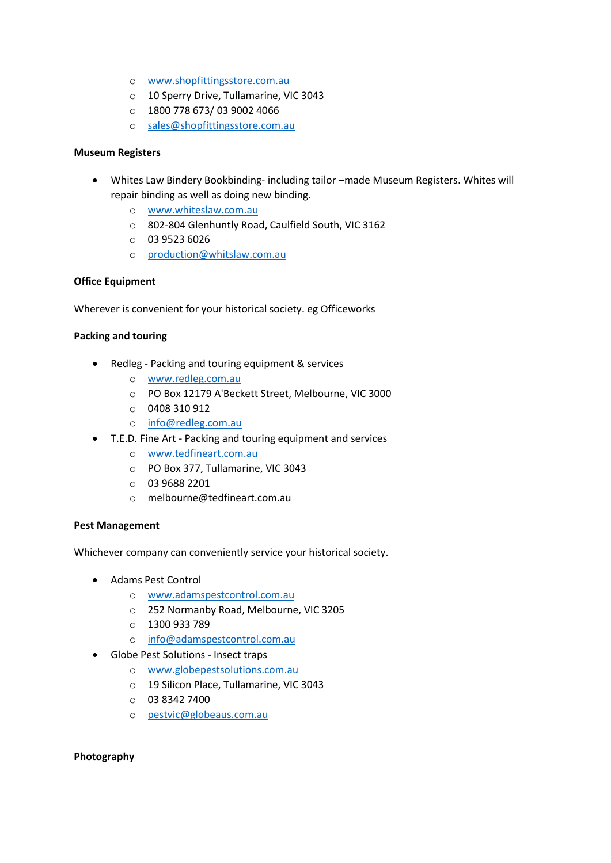- o [www.shopfittingsstore.com.au](http://www.shopfittingsstore.com.au/)
- o 10 Sperry Drive, Tullamarine, VIC 3043
- o 1800 778 673/ 03 9002 4066
- o [sales@shopfittingsstore.com.au](mailto:sales@shopfittingsstore.com.au)

#### **Museum Registers**

- Whites Law Bindery Bookbinding- including tailor –made Museum Registers. Whites will repair binding as well as doing new binding.
	- o [www.whiteslaw.com.au](http://www.whiteslaw.com.au/)
	- o 802-804 Glenhuntly Road, Caulfield South, VIC 3162
	- o 03 9523 6026
	- o [production@whitslaw.com.au](mailto:production@whitslaw.com.au)

## **Office Equipment**

Wherever is convenient for your historical society. eg Officeworks

#### **Packing and touring**

- Redleg Packing and touring equipment & services
	- o [www.redleg.com.au](http://www.redleg.com.au/)
	- o PO Box 12179 A'Beckett Street, Melbourne, VIC 3000
	- o 0408 310 912
	- o [info@redleg.com.au](mailto:info@redleg.com.au)
- T.E.D. Fine Art Packing and touring equipment and services
	- o www.tedfineart.com.au
	- o PO Box 377, Tullamarine, VIC 3043
	- o 03 9688 2201
	- o melbourne@tedfineart.com.au

#### **Pest Management**

Whichever company can conveniently service your historical society.

- Adams Pest Control
	- o [www.adamspestcontrol.com.au](http://www.adamspestcontrol.com.au/)
	- o 252 Normanby Road, Melbourne, VIC 3205
	- o 1300 933 789
	- o [info@adamspestcontrol.com.au](mailto:info@adamspestcontrol.com.au)
- Globe Pest Solutions Insect traps
	- o [www.globepestsolutions.com.au](http://www.globepestsolutions.com.au/)
	- o 19 Silicon Place, Tullamarine, VIC 3043
	- o 03 8342 7400
	- o [pestvic@globeaus.com.au](mailto:pestvic@globeaus.com.au)

#### **Photography**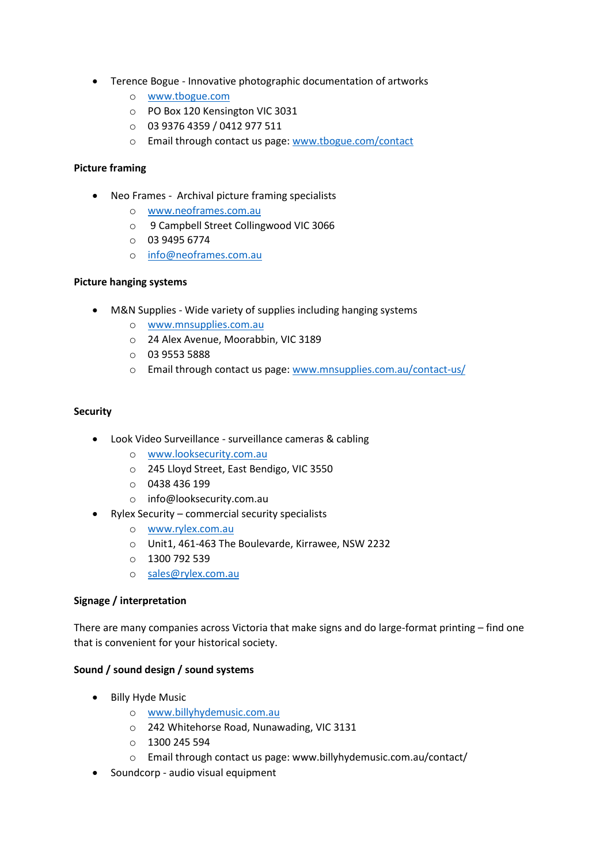- Terence Bogue Innovative photographic documentation of artworks
	- o [www.tbogue.com](http://www.tbogue.com/)
	- o PO Box 120 Kensington VIC 3031
	- o 03 9376 4359 / 0412 977 511
	- o Email through contact us page: [www.tbogue.com/contact](http://www.tbogue.com/contact)

#### **Picture framing**

- Neo Frames Archival picture framing specialists
	- o [www.neoframes.com.au](http://www.neoframes.com.au/)
	- o 9 Campbell Street Collingwood VIC 3066
	- o 03 9495 6774
	- o [info@neoframes.com.au](mailto:info@neoframes.com.au)

#### **Picture hanging systems**

- M&N Supplies Wide variety of supplies including hanging systems
	- o [www.mnsupplies.com.au](http://www.mnsupplies.com.au/)
	- o 24 Alex Avenue, Moorabbin, VIC 3189
	- o 03 9553 5888
	- o Email through contact us page: [www.mnsupplies.com.au/contact-us/](http://www.mnsupplies.com.au/contact-us/)

#### **Security**

- Look Video Surveillance surveillance cameras & cabling
	- o [www.looksecurity.com.au](http://www.looksecurity.com.au/)
	- o 245 Lloyd Street, East Bendigo, VIC 3550
	- o 0438 436 199
	- o info@looksecurity.com.au
- Rylex Security commercial security specialists
	- o [www.rylex.com.au](http://www.rylex.com.au/)
	- o Unit1, 461-463 The Boulevarde, Kirrawee, NSW 2232
	- o 1300 792 539
	- o [sales@rylex.com.au](mailto:sales@rylex.com.au)

#### **Signage / interpretation**

There are many companies across Victoria that make signs and do large-format printing – find one that is convenient for your historical society.

#### **Sound / sound design / sound systems**

- Billy Hyde Music
	- o [www.billyhydemusic.com.au](http://www.billyhydemusic.com.au/)
	- o 242 Whitehorse Road, Nunawading, VIC 3131
	- $O$  1300 245 594
	- o Email through contact us page: www.billyhydemusic.com.au/contact/
- Soundcorp audio visual equipment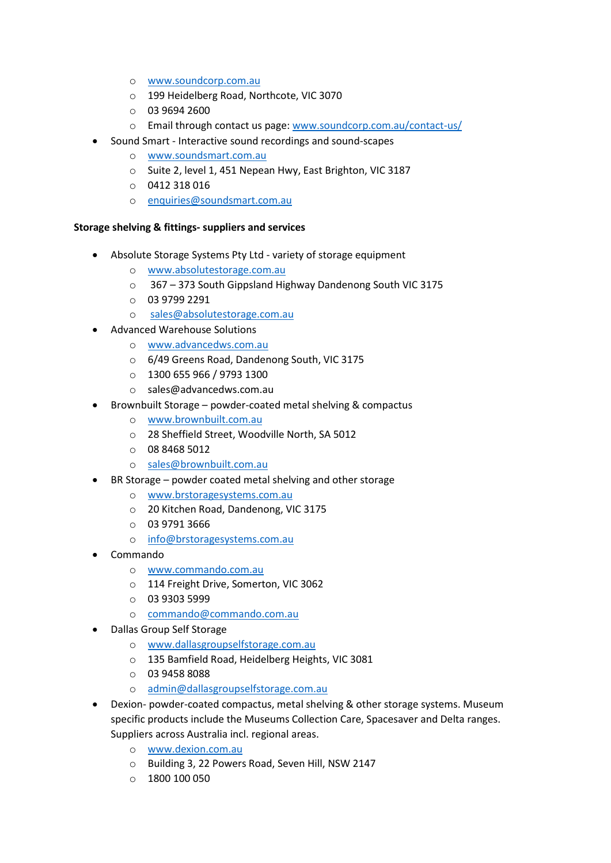- o [www.soundcorp.com.au](http://www.soundcorp.com.au/)
- o 199 Heidelberg Road, Northcote, VIC 3070
- o 03 9694 2600
- o Email through contact us page: [www.soundcorp.com.au/contact-us/](http://www.soundcorp.com.au/contact-us/)
- Sound Smart Interactive sound recordings and sound-scapes
	- o [www.soundsmart.com.au](http://www.soundsmart.com.au/)
	- o Suite 2, level 1, 451 Nepean Hwy, East Brighton, VIC 3187
	- o 0412 318 016
	- o [enquiries@soundsmart.com.au](mailto:enquiries@soundsmart.com.au)

#### **Storage shelving & fittings- suppliers and services**

- Absolute Storage Systems Pty Ltd variety of storage equipment
	- o [www.absolutestorage.com.au](http://www.absolutestorage.com.au/)
	- o 367 373 South Gippsland Highway Dandenong South VIC 3175
	- o 03 9799 2291
	- o [sales@absolutestorage.com.au](mailto:sales@absolutestorage.com.au)
- Advanced Warehouse Solutions
	- o [www.advancedws.com.au](http://www.advancedws.com.au/)
	- o 6/49 Greens Road, Dandenong South, VIC 3175
	- o 1300 655 966 / 9793 1300
	- o sales@advancedws.com.au
- Brownbuilt Storage powder-coated metal shelving & compactus
	- o [www.brownbuilt.com.au](http://www.brownbuilt.com.au/)
	- o 28 Sheffield Street, Woodville North, SA 5012
	- o 08 8468 5012
	- o [sales@brownbuilt.com.au](mailto:sales@brownbuilt.com.au)
- BR Storage powder coated metal shelving and other storage
	- o [www.brstoragesystems.com.au](http://www.brstoragesystems.com.au/)
	- o 20 Kitchen Road, Dandenong, VIC 3175
	- o 03 9791 3666
	- o [info@brstoragesystems.com.au](mailto:info@brstoragesystems.com.au)
- Commando
	- o [www.commando.com.au](http://www.commando.com.au/)
	- o 114 Freight Drive, Somerton, VIC 3062
	- o 03 9303 5999
	- o [commando@commando.com.au](mailto:commando@commando.com.au)
- Dallas Group Self Storage
	- o [www.dallasgroupselfstorage.com.au](http://www.dallasgroupselfstorage.com.au/)
	- o 135 Bamfield Road, Heidelberg Heights, VIC 3081
	- o 03 9458 8088
	- o [admin@dallasgroupselfstorage.com.au](mailto:admin@dallasgroupselfstorage.com.au)
- Dexion- powder-coated compactus, metal shelving & other storage systems. Museum specific products include the Museums Collection Care, Spacesaver and Delta ranges. Suppliers across Australia incl. regional areas.
	- o [www.dexion.com.au](http://www.dexion.com.au/)
	- o Building 3, 22 Powers Road, Seven Hill, NSW 2147
	- $0 1800 100 050$